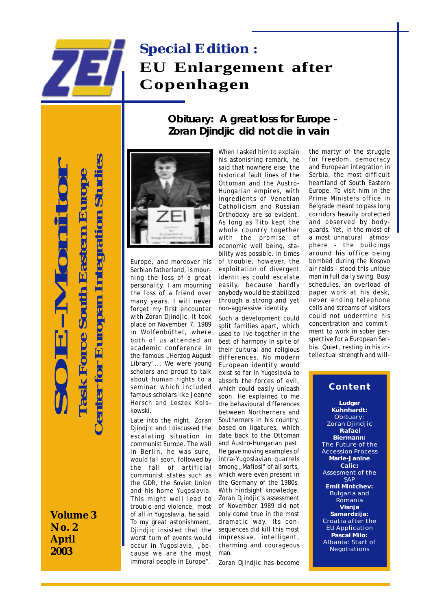

**EU Enlargement after**

 **Center for Europan Integration Studies Jenter for Europan Integration Studie SOE-Monitor Task Force South Eastern Europe Task Force South Eastern Europe Moni** 

**Volume 3 No. 2 April 2003**



Europe, and moreover his Serbian fatherland, is mourning the loss of a great personality. I am mourning the loss of a friend over many years. I will never forget my first encounter with Zoran Djindjic. It took place on November 7, 1989 in Wolfenbüttel, where both of us attended an academic conference in the famous "Herzog August Library"... We were young scholars and proud to talk about human rights to a seminar which included famous scholars like Jeanne Hersch and Leszek Kolakowski.

Late into the night, Zoran Djindjic and I discussed the escalating situation in communist Europe. The wall in Berlin, he was sure, would fall soon, followed by the fall of artificial communist states such as the GDR, the Soviet Union and his home Yugoslavia. This might well lead to trouble and violence, most of all in Yugoslavia, he said. To my great astonishment, Djindjic insisted that the worst turn of events would occur in Yugoslavia, "because we are the most immoral people in Europe".

When I asked him to explain his astonishing remark, he said that nowhere else the historical fault lines of the Ottoman and the Austro-Hungarian empires, with ingredients of Venetian Catholicism and Russian Orthodoxy are so evident. As long as Tito kept the whole country together with the promise of economic well being, stability was possible. In times of trouble, however, the exploitation of divergent identities could escalate easily, because hardly anybody would be stabilized through a strong and yet non-aggressive identity.

Such a development could split families apart, which used to live together in the best of harmony in spite of their cultural and religious differences. No modern European identity would exist so far in Yugoslavia to absorb the forces of evil, which could easily unleash soon. He explained to me the behavioural differences between Northerners and Southerners in his country, based on ligatures, which date back to the Ottoman and Austro-Hungarian past. He gave moving examples of intra-Yugoslavian quarrels among "Mafiosi" of all sorts, which were even present in the Germany of the 1980s. With hindsight knowledge. Zoran Djindjic's assessment of November 1989 did not only come true in the most dramatic way. Its consequences did kill this most impressive, intelligent, charming and courageous man.

Zoran Djindjic has become

the martyr of the struggle for freedom, democracy and European integration in Serbia, the most difficult heartland of South Eastern Europe. To visit him in the Prime Ministers office in Belgrade meant to pass long corridors heavily protected and observed by bodyguards. Yet, in the midst of a most unnatural atmosphere - the buildings around his office being bombed during the Kosovo air raids - stood this unique man in full daily swing. Busy schedules, an overload of paper work at his desk, never ending telephone calls and streams of visitors could not undermine his concentration and commitment to work in sober perspective for a European Serbia. Quiet, resting in his intellectual strength and will-

## **Content**

**Ludger Kühnhardt:** Obituary: Zoran Djindjic  **Rafael Biermann:** The Future of the Accession Process **Marie-Janine Calic:** Assesment of the SAP **Emil Mintchev:** Bulgaria and Romania **Visnja Samardzija:** Croatia after the EU Application **Pascal Milo:** Albania: Start of **Negotiations** 

## **Obituary: A great loss for Europe - Zoran Djindjic did not die in vain**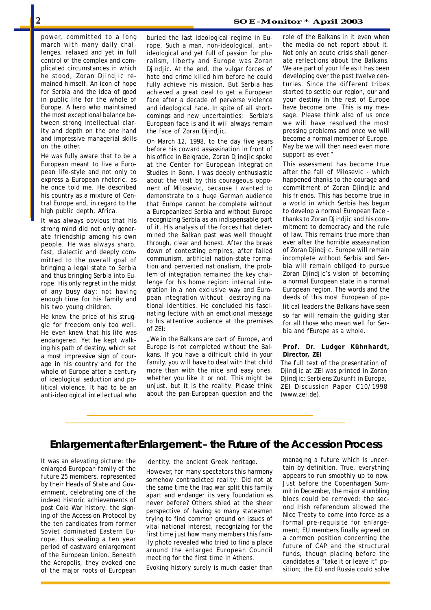power, committed to a long march with many daily challenges, relaxed and yet in full control of the complex and complicated circumstances in which he stood, Zoran Djindjic remained himself. An icon of hope for Serbia and the idea of good in public life for the whole of Europe. A hero who maintained the most exceptional balance between strong intellectual clarity and depth on the one hand and impressive managerial skills on the other.

He was fully aware that to be a European meant to live a European life-style and not only to express a European rhetoric, as he once told me. He described his country as a mixture of Central Europe and, in regard to the high public depth, Africa.

It was always obvious that his strong mind did not only generate friendship among his own people. He was always sharp, fast, dialectic and deeply committed to the overall goal of bringing a legal state to Serbia and thus bringing Serbia into Europe. His only regret in the midst of any busy day: not having enough time for his family and his two young children.

He knew the price of his struggle for freedom only too well. He even knew that his life was endangered. Yet he kept walking his path of destiny, which set a most impressive sign of courage in his country and for the whole of Europe after a century of ideological seduction and political violence. It had to be an anti-ideological intellectual who

buried the last ideological regime in Europe. Such a man, non-ideological, antiideological and yet full of passion for pluralism, liberty and Europe was Zoran Djindjic. At the end, the vulgar forces of hate and crime killed him before he could fully achieve his mission. But Serbia has achieved a great deal to get a European face after a decade of perverse violence and ideological hate. In spite of all shortcomings and new uncertainties: Serbia's European face is and it will always remain the face of Zoran Diindiic.

On March 12, 1998, to the day five years before his coward assassination in front of his office in Belgrade, Zoran Djindjic spoke at the Center for European Integration Studies in Bonn. I was deeply enthusiastic about the visit by this courageous opponent of Milosevic, because I wanted to demonstrate to a huge German audience that Europe cannot be complete without a Europeanized Serbia and without Europe recognizing Serbia as an indispensable part of it. His analysis of the forces that determined the Balkan past was well thought through, clear and honest. After the break down of contesting empires, after failed communism, artificial nation-state formation and perverted nationalism, the problem of integration remained the key challenge for his home region: internal integration in a non exclusive way and European integration without destroying national identities. He concluded his fascinating lecture with an emotional message to his attentive audience at the premises of ZEI:

. We in the Balkans are part of Europe, and Europe is not completed without the Balkans. If you have a difficult child in your family, you will have to deal with that child more than with the nice and easy ones, whether you like it or not. This might be unjust, but it is the reality. Please think about the pan-European question and the

role of the Balkans in it even when the media do not report about it. Not only an acute crisis shall generate reflections about the Balkans. We are part of your life as it has been developing over the past twelve centuries. Since the different tribes started to settle our region, our and your destiny in the rest of Europe have become one. This is my message. Please think also of us once we will have resolved the most pressing problems and once we will become a normal member of Europe. May be we will then need even more support as ever."

This assessment has become true after the fall of Milosevic - which happened thanks to the courage and commitment of Zoran Diindiic and his friends. This has become true in a world in which Serbia has begun to develop a normal European face thanks to Zoran Diindiic and his commitment to democracy and the rule of law. This remains true more than ever after the horrible assassination of Zoran Djindjic. Europe will remain incomplete without Serbia and Serbia will remain obliged to pursue Zoran Djindjic's vision of becoming a normal European state in a normal European region. The words and the deeds of this most European of political leaders the Balkans have seen so far will remain the guiding star for all those who mean well for Serbia and fEurope as a whole.

#### **Prof. Dr. Ludger Kühnhardt, Director, ZEI**

*The full text of the presentation of Djindjic at ZEI was printed in Zoran Djindjic: Serbiens Zukunft in Europa, ZEI Discussion Paper C10/1998 (www.zei.de).*

## **Enlargement after Enlargement – the Future of the Accession Process**

It was an elevating picture: the enlarged European family of the future 25 members, represented by their Heads of State and Government, celebrating one of the indeed historic achievements of post Cold War history: the signing of the Accession Protocol by the ten candidates from former Soviet dominated Eastern Europe, thus sealing a ten year period of eastward enlargement of the European Union. Beneath the Acropolis, they evoked one of the major roots of European identity, the ancient Greek heritage.

le European Union. Beneath meeting for the first time in Athens. However, for many spectators this harmony somehow contradicted reality: Did not at the same time the Iraq war split this family apart and endanger its very foundation as never before? Others shied at the sheer perspective of having so many statesmen trying to find common ground on issues of vital national interest, recognizing for the first time just how many members this family photo revealed who tried to find a place around the enlarged European Council

Evoking history surely is much easier than

managing a future which is uncertain by definition. True, everything appears to run smoothly up to now. Just before the Copenhagen Summit in December, the major stumbling blocs could be removed: the second Irish referendum allowed the Nice Treaty to come into force as a formal pre-requisite for enlargement; EU members finally agreed on a common position concerning the future of CAP and the structural funds, though placing before the candidates a "take it or leave it" position; the EU and Russia could solve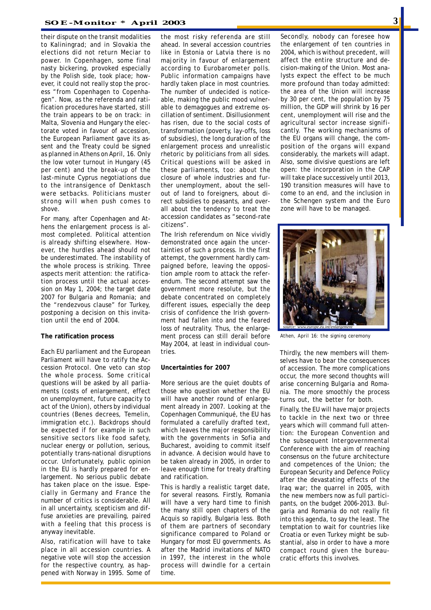their dispute on the transit modalities to Kaliningrad; and in Slovakia the elections did not return Meciar to power. In Copenhagen, some final nasty bickering, provoked especially by the Polish side, took place; however, it could not really stop the process "from Copenhagen to Copenhagen". Now, as the referenda and ratification procedures have started, still the train appears to be on track: in Malta, Slovenia and Hungary the electorate voted in favour of accession, the European Parliament gave its assent and the Treaty could be signed as planned in Athens on April, 16. Only the low voter turnout in Hungary (45 per cent) and the break-up of the last-minute Cyprus negotiations due to the intransigence of Denktasch were setbacks. Politicians muster strong will when push comes to shove.

For many, after Copenhagen and Athens the enlargement process is almost completed. Political attention is already shifting elsewhere. However, the hurdles ahead should not be underestimated. The instability of the whole process is striking. Three aspects merit attention: the ratification process until the actual accession on May 1, 2004; the target date 2007 for Bulgaria and Romania; and the "rendezvous clause" for Turkey, postponing a decision on this invitation until the end of 2004.

#### **The ratification process**

Each EU parliament and the European Parliament will have to ratify the Accession Protocol. One veto can stop the whole process. Some critical questions will be asked by all parliaments (costs of enlargement, effect on unemployment, future capacity to act of the Union), others by individual countries (Benes decrees, Temelin, immigration etc.). Backdrops should be expected if for example in such sensitive sectors like food safety, nuclear energy or pollution, serious, potentially trans-national disruptions occur. Unfortunately, public opinion in the EU is hardly prepared for enlargement. No serious public debate has taken place on the issue. Especially in Germany and France the number of critics is considerable. All in all uncertainty, scepticism and diffuse anxieties are prevailing, paired with a feeling that this process is anyway inevitable.

Also, ratification will have to take place in all accession countries. A negative vote will stop the accession for the respective country, as happened with Norway in 1995. Some of

the most risky referenda are still ahead. In several accession countries like in Estonia or Latvia there is no majority in favour of enlargement according to Eurobarometer polls. Public information campaigns have hardly taken place in most countries. The number of undecided is noticeable, making the public mood vulnerable to demagogues and extreme oscillation of sentiment. Disillusionment has risen, due to the social costs of transformation (poverty, lay-offs, loss of subsidies), the long duration of the enlargement process and unrealistic rhetoric by politicians from all sides. Critical questions will be asked in these parliaments, too: about the closure of whole industries and further unemployment, about the sellout of land to foreigners, about direct subsidies to peasants, and overall about the tendency to treat the accession candidates as "second-rate citizens".

The Irish referendum on Nice vividly demonstrated once again the uncertainties of such a process. In the first attempt, the government hardly campaigned before, leaving the opposition ample room to attack the referendum. The second attempt saw the government more resolute, but the debate concentrated on completely different issues, especially the deep crisis of confidence the Irish government had fallen into and the feared loss of neutrality. Thus, the enlargement process can still derail before May 2004, at least in individual countries.

#### **Uncertainties for 2007**

More serious are the quiet doubts of those who question whether the EU will have another round of enlargement already in 2007. Looking at the Copenhagen Communiqué, the EU has formulated a carefully drafted text, which leaves the major responsibility with the governments in Sofia and Bucharest, avoiding to commit itself in advance. A decision would have to be taken already in 2005, in order to leave enough time for treaty drafting and ratification.

This is hardly a realistic target date, for several reasons. Firstly, Romania will have a very hard time to finish the many still open chapters of the Acquis so rapidly, Bulgaria less. Both of them are partners of secondary significance compared to Poland or Hungary for most EU governments. As after the Madrid invitations of NATO in 1997, the interest in the whole process will dwindle for a certain time.

Secondly, nobody can foresee how the enlargement of ten countries in 2004, which is without precedent, will affect the entire structure and decision-making of the Union. Most analysts expect the effect to be much more profound than today admitted: the area of the Union will increase by 30 per cent, the population by 75 million, the GDP will shrink by 16 per cent, unemployment will rise and the agricultural sector increase significantly. The working mechanisms of the EU organs will change, the composition of the organs will expand considerably, the markets will adapt. Also, some divisive questions are left open: the incorporation in the CAP will take place successively until 2013, 190 transition measures will have to come to an end, and the inclusion in the Schengen system and the Euro zone will have to be managed.



*Athen, April 16: the signing ceremony*

Thirdly, the new members will themselves have to bear the consequences of accession. The more complications occur, the more second thoughts will arise concerning Bulgaria and Romania. The more smoothly the process turns out, the better for both.

Finally, the EU will have major projects to tackle in the next two or three years which will command full attention: the European Convention and the subsequent Intergovernmental Conference with the aim of reaching consensus on the future architecture and competences of the Union; the European Security and Defence Policy after the devastating effects of the Iraq war; the quarrel in 2005, with the new members now as full participants, on the budget 2006-2013. Bulgaria and Romania do not really fit into this agenda, to say the least. The temptation to wait for countries like Croatia or even Turkey might be substantial, also in order to have a more compact round given the bureaucratic efforts this involves.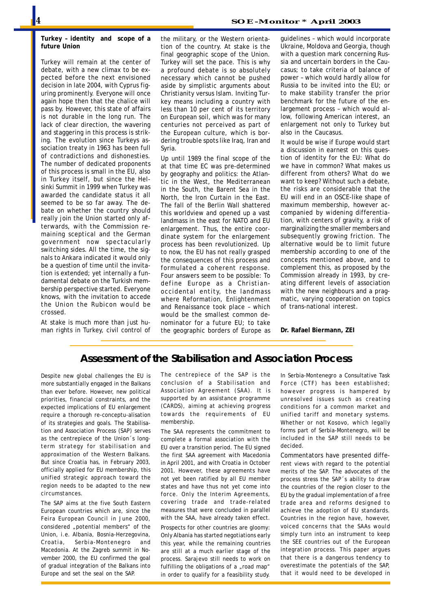#### **Turkey – identity and scope of a future Union**

Turkey will remain at the center of debate, with a new climax to be expected before the next envisioned decision in late 2004, with Cyprus figuring prominently. Everyone will once again hope then that the chalice will pass by. However, this state of affairs is not durable in the long run. The lack of clear direction, the wavering and staggering in this process is striking. The evolution since Turkeys association treaty in 1963 has been full of contradictions and dishonesties. The number of dedicated proponents of this process is small in the EU, also in Turkey itself, but since the Helsinki Summit in 1999 when Turkey was awarded the candidate status it all seemed to be so far away. The debate on whether the country should really join the Union started only afterwards, with the Commission remaining sceptical and the German government now spectacularly switching sides. All the time, the signals to Ankara indicated it would only be a question of time until the invitation is extended; yet internally a fundamental debate on the Turkish membership perspective started. Everyone knows, with the invitation to accede the Union the Rubicon would be crossed.

At stake is much more than just human rights in Turkey, civil control of

the military, or the Western orientation of the country. At stake is the final geographic scope of the Union. Turkey will set the pace. This is why a profound debate is so absolutely necessary which cannot be pushed aside by simplistic arguments about Christianity versus Islam. Inviting Turkey means including a country with less than 10 per cent of its territory on European soil, which was for many centuries not perceived as part of the European culture, which is bordering trouble spots like Iraq, Iran and Syria.

Up until 1989 the final scope of the at that time EC was pre-determined by geography and politics: the Atlantic in the West, the Mediterranean in the South, the Barent Sea in the North, the Iron Curtain in the East. The fall of the Berlin Wall shattered this worldview and opened up a vast landmass in the east for NATO and EU enlargement. Thus, the entire coordinate system for the enlargement process has been revolutionized. Up to now, the EU has not really grasped the consequences of this process and formulated a coherent response. Four answers seem to be possible: To define Europe as a Christianoccidental entity, the landmass where Reformation, Enlightenment and Renaissance took place – which would be the smallest common denominator for a future EU; to take the geographic borders of Europe as guidelines – which would incorporate Ukraine, Moldova and Georgia, though with a question mark concerning Russia and uncertain borders in the Caucasus; to take criteria of balance of power – which would hardly allow for Russia to be invited into the EU; or to make stability transfer the prior benchmark for the future of the enlargement process – which would allow, following American interest, an enlargement not only to Turkey but also in the Caucasus.

It would be wise if Europe would start a discussion in earnest on this question of identity for the EU: What do we have in common? What makes us different from others? What do we want to keep? Without such a debate, the risks are considerable that the EU will end in an OSCE-like shape of maximum membership, however accompanied by widening differentiation, with centers of gravity, a risk of marginalizing the smaller members and subsequently growing friction. The alternative would be to limit future membership according to one of the concepts mentioned above, and to complement this, as proposed by the Commission already in 1993, by creating different levels of association with the new neighbours and a pragmatic, varying cooperation on topics of trans-national interest.

**Dr. Rafael Biermann, ZEI**

### **Assessment of the Stabilisation and Association Process**

Despite new global challenges the EU is more substantially engaged in the Balkans than ever before. However, new political priorities, financial constraints, and the expected implications of EU enlargement require a thorough re-conceptu-alisation of its strategies and goals. The Stabilisation and Association Process (SAP) serves as the centrepiece of the Union´s longterm strategy for stabilisation and approximation of the Western Balkans. But since Croatia has, in February 2003, officially applied for EU membership, this unified strategic approach toward the region needs to be adapted to the new circumstances.

The SAP aims at the five South Eastern European countries which are, since the Feira European Council in June 2000, considered "potential members" of the Union, i.e. Albania, Bosnia-Herzegovina, Croatia, Serbia-Montenegro and Macedonia. At the Zagreb summit in November 2000, the EU confirmed the goal of gradual integration of the Balkans into Europe and set the seal on the SAP.

The centrepiece of the SAP is the conclusion of a Stabilisation and Association Agreement (SAA). It is supported by an assistance programme (CARDS), aiming at achieving progress towards the requirements of EU membership.

The SAA represents the commitment to complete a formal association with the EU over a transition period. The EU signed the first SAA agreement with Macedonia in April 2001, and with Croatia in October 2001. However, these agreements have not yet been ratified by all EU member states and have thus not yet come into force. Only the Interim Agreements, covering trade and trade-related measures that were concluded in parallel with the SAA, have already taken effect.

Prospects for other countries are gloomy: Only Albania has started negotiations early this year, while the remaining countries are still at a much earlier stage of the process. Sarajevo still needs to work on fulfilling the obligations of a  $\sqrt{r}$  road map" in order to qualify for a feasibility study.

In Serbia-Montenegro a Consultative Task Force (CTF) has been established; however progress is hampered by unresolved issues such as creating conditions for a common market and unified tariff and monetary systems. Whether or not Kosovo, which legally forms part of Serbia-Montenegro, will be included in the SAP still needs to be decided.

Commentators have presented different views with regard to the potential merits of the SAP. The advocates of the process stress the SAP´s ability to draw the countries of the region closer to the EU by the gradual implementation of a free trade area and reforms designed to achieve the adoption of EU standards. Countries in the region have, however, voiced concerns that the SAAs would simply turn into an instrument to keep the SEE countries out of the European integration process. This paper argues that there is a dangerous tendency to overestimate the potentials of the SAP, that it would need to be developed in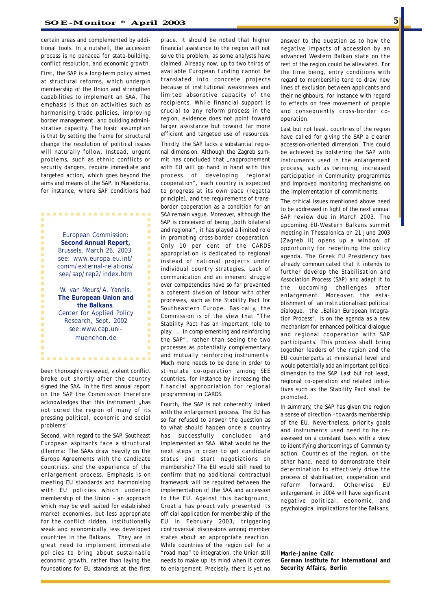certain areas and complemented by additional tools. In a nutshell, the accession process is no panacea for state-building, conflict resolution, and economic growth.

First, the SAP is a long-term policy aimed at structural reforms, which underpin membership of the Union and strengthen capabilities to implement an SAA. The emphasis is thus on activities such as harmonising trade policies, improving border management, and building administrative capacity. The basic assumption is that by setting the frame for structural change the resolution of political issues will naturally follow. Instead, urgent problems, such as ethnic conflicts or security dangers, require immediate and targeted action, which goes beyond the aims and means of the SAP. In Macedonia, for instance, where SAP conditions had

> European Commission: **Second Annual Report,** Brussels, March 26, 2003, see: www.europa.eu.int/ comm/external-relations/ see/sap/rep2/index.htm W. van Meurs/A. Yannis, **The European Union and**

. . . . . . . . . . . . . . . . . . .

**the Balkans**, Center for Applied Policy Research, Sept. 2002 see:www.cap.unimuenchen.de

been thoroughly reviewed, violent conflict broke out shortly after the country signed the SAA. In the first annual report on the SAP the Commission therefore acknowledges that this instrument "has not cured the region of many of its pressing political, economic and social problems".

. . . . . . . . . . . . . . . . . . .

Second, with regard to the SAP, Southeast European aspirants face a structural dilemma: The SAAs draw heavily on the Europe Agreements with the candidate countries, and the experience of the enlargement process. Emphasis is on meeting EU standards and harmonising with EU policies which underpin membership of the Union – an approach which may be well suited for established market economies, but less appropriate for the conflict ridden, institutionally weak and economically less developed countries in the Balkans. They are in great need to implement immediate policies to bring about sustainable economic growth, rather than laying the foundations for EU standards at the first

place. It should be noted that higher financial assistance to the region will not solve the problem, as some analysts have claimed. Already now, up to two thirds of available European funding cannot be translated into concrete projects because of institutional weaknesses and limited absorptive capacity of the recipients. While financial support is crucial to any reform process in the region, evidence does not point toward larger assistance but toward far more efficient and targeted use of resources. Thirdly, the SAP lacks a substantial regional dimension. Although the Zagreb summit has concluded that "rapprochement with EU will go hand in hand with this process of developing regional cooperation", each country is expected to progress at its own pace (regatta principle), and the requirements of transborder cooperation as a condition for an SAA remain vague. Moreover, although the SAP is conceived of being "both bilateral and regional", it has played a limited role in promoting cross-border cooperation. Only 10 per cent of the CARDS appropriation is dedicated to regional instead of national projects under individual country strategies. Lack of communication and an inherent struggle over competencies have so far prevented a coherent division of labour with other processes, such as the Stability Pact for Southeastern Europe. Basically, the Commission is of the view that "The Stability Pact has an important role to play ... in complementing and reinforcing the SAP", rather than seeing the two processes as potentially complementary and mutually reinforcing instruments. Much more needs to be done in order to stimulate co-operation among SEE countries, for instance by increasing the financial appropriation for regional programming in CARDS.

Fourth, the SAP is not coherently linked with the enlargement process. The EU has so far refused to answer the question as to what should happen once a country has successfully concluded and implemented an SAA. What would be the next steps in order to get candidate status and start negotiations on membership? The EU would still need to confirm that no additional contractual framework will be required between the implementation of the SAA and accession to the EU. Against this background, Croatia has proactively presented its official application for membership of the EU in February 2003, triggering controversial discussions among member states about an appropriate reaction. While countries of the region call for a "road map" to integration, the Union still needs to make up its mind when it comes to enlargement. Precisely, there is yet no answer to the question as to how the negative impacts of accession by an advanced Western Balkan state on the rest of the region could be alleviated. For the time being, entry conditions with regard to membership tend to draw new lines of exclusion between applicants and their neighbours, for instance with regard to effects on free movement of people and consequently cross-border cooperation.

Last but not least, countries of the region have called for giving the SAP a clearer accession-oriented dimension. This could be achieved by bolstering the SAP with instruments used in the enlargement process, such as twinning, increased participation in Community programmes and improved monitoring mechanisms on the implementation of commitments.

The critical issues mentioned above need to be addressed in light of the next annual SAP review due in March 2003. The upcoming EU-Western Balkans summit meeting in Thessalonica on 21 June 2003 (Zagreb II) opens up a window of opportunity for redefining the policy agenda. The Greek EU Presidency has already communicated that it intends to further develop the Stabilisation and Association Process (SAP) and adapt it to the upcoming challenges after enlargement. Moreover, the establishment of an institutionalised political dialogue, the "Balkan European Integration Process", is on the agenda as a new mechanism for enhanced political dialogue and regional cooperation with SAP participants. This process shall bring together leaders of the region and the EU counterparts at ministerial level and would potentially add an important political dimension to the SAP. Last but not least, regional co-operation and related initiatives such as the Stability Pact shall be promoted.

In summary, the SAP has given the region a sense of direction – towards membership of the EU. Nevertheless, priority goals and instruments used need to be reassessed on a constant basis with a view to identifying shortcomings of Community action. Countries of the region, on the other hand, need to demonstrate their determination to effectively drive the process of stabilisation, cooperation and reform forward. Otherwise EU enlargement in 2004 will have significant negative political, economic, and psychological implications for the Balkans.

**Marie-Janine Calic German Institute for International and Security Affairs, Berlin**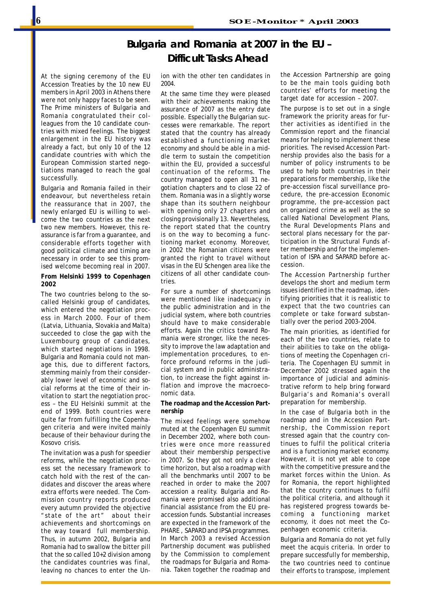# **Bulgaria and Romania at 2007 in the EU – Difficult Tasks Ahead**

At the signing ceremony of the EU Accession Treaties by the 10 new EU members in April 2003 in Athens there were not only happy faces to be seen. The Prime ministers of Bulgaria and Romania congratulated their colleagues from the 10 candidate countries with mixed feelings. The biggest enlargement in the EU history was already a fact, but only 10 of the 12 candidate countries with which the European Commission started negotiations managed to reach the goal successfully.

Bulgaria and Romania failed in their endeavour, but nevertheless retain the reassurance that in 2007, the newly enlarged EU is willing to welcome the two countries as the next two new members. However, this reassurance is far from a guarantee, and considerable efforts together with good political climate and timing are necessary in order to see this promised welcome becoming real in 2007.

#### **From Helsinki 1999 to Copenhagen 2002**

The two countries belong to the socalled Helsinki group of candidates, which entered the negotiation process in March 2000. Four of them (Latvia, Lithuania, Slovakia and Malta) succeeded to close the gap with the Luxembourg group of candidates, which started negotiations in 1998. Bulgaria and Romania could not manage this, due to different factors, stemming mainly from their considerably lower level of economic and social reforms at the time of their invitation to start the negotiation process – the EU Helsinki summit at the end of 1999. Both countries were quite far from fulfilling the Copenhagen criteria and were invited mainly because of their behaviour during the Kosovo crisis.

The invitation was a push for speedier reforms, while the negotiation process set the necessary framework to catch hold with the rest of the candidates and discover the areas where extra efforts were needed. The Commission country reports produced every autumn provided the objective "state of the art" about their achievements and shortcomings on the way toward full membership. Thus, in autumn 2002, Bulgaria and Romania had to swallow the bitter pill that the so called 10+2 division among the candidates countries was final, leaving no chances to enter the Union with the other ten candidates in 2004.

At the same time they were pleased with their achievements making the assurance of 2007 as the entry date possible. Especially the Bulgarian successes were remarkable. The report stated that the country has already established a functioning market economy and should be able in a middle term to sustain the competition within the EU, provided a successful continuation of the reforms. The country managed to open all 31 negotiation chapters and to close 22 of them. Romania was in a slightly worse shape than its southern neighbour with opening only 27 chapters and closing provisionally 13. Nevertheless, the report stated that the country is on the way to becoming a functioning market economy. Moreover, in 2002 the Romanian citizens were granted the right to travel without visas in the EU Schengen area like the citizens of all other candidate countries.

For sure a number of shortcomings were mentioned like inadequacy in the public administration and in the judicial system, where both countries should have to make considerable efforts. Again the critics toward Romania were stronger, like the necessity to improve the law adaptation and implementation procedures, to enforce profound reforms in the judicial system and in public administration, to increase the fight against inflation and improve the macroeconomic data.

#### **The roadmap and the Accession Partnership**

The mixed feelings were somehow muted at the Copenhagen EU summit in December 2002, where both countries were once more reassured about their membership perspective in 2007. So they got not only a clear time horizon, but also a roadmap with all the benchmarks until 2007 to be reached in order to make the 2007 accession a reality. Bulgaria and Romania were promised also additional financial assistance from the EU preaccession funds. Substantial increases are expected in the framework of the PHARE , SAPARD and IPSA programmes. In March 2003 a revised Accession Partnership document was published by the Commission to complement the roadmaps for Bulgaria and Romania. Taken together the roadmap and

the Accession Partnership are going to be the main tools guiding both countries' efforts for meeting the target date for accession – 2007.

The purpose is to set out in a single framework the priority areas for further activities as identified in the Commission report and the financial means for helping to implement these priorities. The revised Accession Partnership provides also the basis for a number of policy instruments to be used to help both countries in their preparations for membership, like the pre-accession fiscal surveillance procedure, the pre-accession Economic programme, the pre-accession pact on organized crime as well as the so called National Development Plans, the Rural Developments Plans and sectoral plans necessary for the participation in the Structural Funds after membership and for the implementation of ISPA and SAPARD before accession.

The Accession Partnership further develops the short and medium term issues identified in the roadmap, identifying priorities that it is realistic to expect that the two countries can complete or take forward substantially over the period 2003-2004.

The main priorities, as identified for each of the two countries, relate to their abilities to take on the obligations of meeting the Copenhagen criteria. The Copenhagen EU summit in December 2002 stressed again the importance of judicial and administrative reform to help bring forward Bulgaria's and Romania's overall preparation for membership.

In the case of Bulgaria both in the roadmap and in the Accession Partnership, the Commission report stressed again that the country continues to fulfil the political criteria and is a functioning market economy. However, it is not yet able to cope with the competitive pressure and the market forces within the Union. As for Romania, the report highlighted that the country continues to fulfil the political criteria, and although it has registered progress towards becoming a functioning market economy, it does not meet the Copenhagen economic criteria.

Bulgaria and Romania do not yet fully meet the *acquis* criteria. In order to prepare successfully for membership, the two countries need to continue their efforts to transpose, implement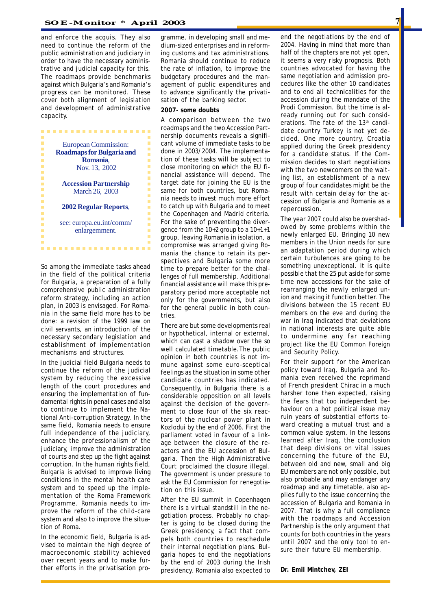and enforce the *acquis*. They also need to continue the reform of the public administration and judiciary in order to have the necessary administrative and judicial capacity for this. The roadmaps provide benchmarks against which Bulgaria's and Romania's progress can be monitored. These cover both alignment of legislation and development of administrative capacity.



So among the immediate tasks ahead in the field of the political criteria for Bulgaria, a preparation of a fully comprehensive public administration reform strategy, including an action plan, in 2003 is envisaged. For Romania in the same field more has to be done: a revision of the 1999 law on civil servants, an introduction of the necessary secondary legislation and establishment of implementation mechanisms and structures.

In the judicial field Bulgaria needs to continue the reform of the judicial system by reducing the excessive length of the court procedures and ensuring the implementation of fundamental rights in penal cases and also to continue to implement the National Anti-corruption Strategy. In the same field, Romania needs to ensure full independence of the judiciary, enhance the professionalism of the judiciary, improve the administration of courts and step up the fight against corruption. In the human rights field, Bulgaria is advised to improve living conditions in the mental health care system and to speed up the implementation of the Roma Framework Programme. Romania needs to improve the reform of the child-care system and also to improve the situation of Roma.

In the economic field, Bulgaria is advised to maintain the high degree of macroeconomic stability achieved over recent years and to make further efforts in the privatisation programme, in developing small and medium-sized enterprises and in reforming customs and tax administrations. Romania should continue to reduce the rate of inflation, to improve the budgetary procedures and the management of public expenditures and to advance significantly the privatisation of the banking sector.

#### **2007- some doubts**

A comparison between the two roadmaps and the two Accession Partnership documents reveals a significant volume of immediate tasks to be done in 2003/2004. The implementation of these tasks will be subject to close monitoring on which the EU financial assistance will depend. The target date for joining the EU is the same for both countries, but Romania needs to invest much more effort to catch up with Bulgaria and to meet the Copenhagen and Madrid criteria. For the sake of preventing the divergence from the 10+2 group to a 10+1+1 group, leaving Romania in isolation, a compromise was arranged giving Romania the chance to retain its perspectives and Bulgaria some more time to prepare better for the challenges of full membership. Additional financial assistance will make this preparatory period more acceptable not only for the governments, but also for the general public in both countries.

There are but some developments real or hypothetical, internal or external, which can cast a shadow over the so well calculated timetable.The public opinion in both countries is not immune against some euro-sceptical feelings as the situation in some other candidate countries has indicated. Consequently, in Bulgaria there is a considerable opposition on all levels against the decision of the government to close four of the six reactors of the nuclear power plant in Kozlodui by the end of 2006. First the parliament voted in favour of a linkage between the closure of the reactors and the EU accession of Bulgaria. Then the High Administrative Court proclaimed the closure illegal. The government is under pressure to ask the EU Commission for renegotiation on this issue.

After the EU summit in Copenhagen there is a virtual standstill in the negotiation process. Probably no chapter is going to be closed during the Greek presidency, a fact that compels both countries to reschedule their internal negotiation plans. Bulgaria hopes to end the negotiations by the end of 2003 during the Irish presidency. Romania also expected to end the negotiations by the end of 2004. Having in mind that more than half of the chapters are not yet open, it seems a very risky prognosis. Both countries advocated for having the same negotiation and admission procedures like the other 10 candidates and to end all technicalities for the accession during the mandate of the Prodi Commission. But the time is already running out for such considerations. The fate of the 13<sup>th</sup> candidate country Turkey is not yet decided. One more country, Croatia applied during the Greek presidency for a candidate status. If the Commission decides to start negotiations with the two newcomers on the waiting list, an establishment of a new group of four candidates might be the result with certain delay for the accession of Bulgaria and Romania as a repercussion.

The year 2007 could also be overshadowed by some problems within the newly enlarged EU. Bringing 10 new members in the Union needs for sure an adaptation period during which certain turbulences are going to be something unexceptional. It is quite possible that the 25 put aside for some time new accessions for the sake of rearranging the newly enlarged union and making it function better. The divisions between the 15 recent EU members on the eve and during the war in Iraq indicated that deviations in national interests are quite able to undermine any far reaching project like the EU Common Foreign and Security Policy.

For their support for the American policy toward Iraq, Bulgaria and Romania even received the reprimand of French president Chirac in a much harsher tone then expected, raising the fears that too independent behaviour on a hot political issue may ruin years of substantial efforts toward creating a mutual trust and a common value system. In the lessons learned after Iraq, the conclusion that deep divisions on vital issues concerning the future of the EU, between old and new, small and big EU members are not only possible, but also probable and may endanger any roadmap and any timetable, also applies fully to the issue concerning the accession of Bulgaria and Romania in 2007. That is why a full compliance with the roadmaps and Accession Partnership is the only argument that counts for both countries in the years until 2007 and the only tool to ensure their future EU membership.

**Dr. Emil Mintchev, ZEI**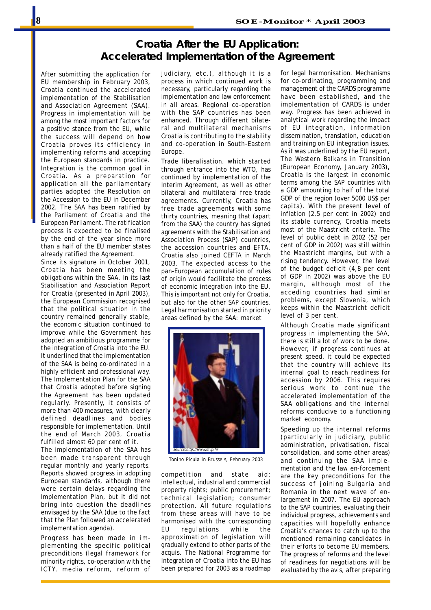## **Croatia After the EU Application: Accelerated Implementation of the Agreement**

After submitting the application for EU membership in February 2003, Croatia continued the accelerated implementation of the Stabilisation and Association Agreement (SAA). Progress in implementation will be among the most important factors for a positive stance from the EU, while the success will depend on how Croatia proves its efficiency in implementing reforms and accepting the European standards in practice. Integration is the common goal in Croatia. As a preparation for application all the parliamentary parties adopted the Resolution on the Accession to the EU in December 2002. The SAA has been ratified by the Parliament of Croatia and the European Parliament. The ratification process is expected to be finalised by the end of the year since more than a half of the EU member states already ratified the Agreement.

Since its signature in October 2001, Croatia has been meeting the obligations within the SAA. In its last Stabilisation and Association Report for Croatia (presented in April 2003), the European Commission recognised that the political situation in the country remained generally stable, the economic situation continued to improve while the Government has adopted an ambitious programme for the integration of Croatia into the EU. It underlined that the implementation of the SAA is being co-ordinated in a highly efficient and professional way. The Implementation Plan for the SAA that Croatia adopted before signing the Agreement has been updated regularly. Presently, it consists of more than 400 measures, with clearly defined deadlines and bodies responsible for implementation. Until the end of March 2003, Croatia fulfilled almost 60 per cent of it.

The implementation of the SAA has been made transparent through regular monthly and yearly reports. Reports showed progress in adopting European standards, although there were certain delays regarding the Implementation Plan, but it did not bring into question the deadlines envisaged by the SAA (due to the fact that the Plan followed an accelerated implementation agenda).

Progress has been made in implementing the specific political preconditions (legal framework for minority rights, co-operation with the ICTY, media reform, reform of

judiciary, etc.), although it is a process in which continued work is necessary, particularly regarding the implementation and law enforcement in all areas. Regional co-operation with the SAP countries has been enhanced. Through different bilateral and multilateral mechanisms Croatia is contributing to the stability and co-operation in South-Eastern Europe.

Trade liberalisation, which started through entrance into the WTO, has continued by implementation of the Interim Agreement, as well as other bilateral and multilateral free trade agreements. Currently, Croatia has free trade agreements with some thirty countries, meaning that (apart from the SAA) the country has signed agreements with the Stabilisation and Association Process (SAP) countries, the accession countries and EFTA. Croatia also joined CEFTA in March 2003. The expected access to the pan-European accumulation of rules of origin would facilitate the process of economic integration into the EU. This is important not only for Croatia, but also for the other SAP countries. Legal harmonisation started in priority areas defined by the SAA: market



 *Tonino Picula in Brussels, February 2003*

competition and state aid; intellectual, industrial and commercial property rights; public procurement; technical legislation; consumer protection. All future regulations from these areas will have to be harmonised with the corresponding EU regulations while the approximation of legislation will gradually extend to other parts of the *acquis.* The National Programme for Integration of Croatia into the EU has been prepared for 2003 as a roadmap for legal harmonisation. Mechanisms for co-ordinating, programming and management of the CARDS programme have been established, and the implementation of CARDS is under way. Progress has been achieved in analytical work regarding the impact of EU integration, information dissemination, translation, education and training on EU integration issues. As it was underlined by the EU report, *The Western Balkans in Transition* (European Economy, January 2003), Croatia is the largest in economic terms among the SAP countries with a GDP amounting to half of the total GDP of the region (over 5000 US\$ *per capita*). With the present level of inflation (2,5 per cent in 2002) and its stable currency, Croatia meets most of the Maastricht criteria. The level of public debt in 2002 (52 per cent of GDP in 2002) was still within the Maastricht margins, but with a rising tendency. However, the level of the budget deficit (4,8 per cent of GDP in 2002) was above the EU margin, although most of the acceding countries had similar problems, except Slovenia, which keeps within the Maastricht deficit level of 3 per cent.

Although Croatia made significant progress in implementing the SAA, there is still a lot of work to be done. However, if progress continues at present speed, it could be expected that the country will achieve its *internal goal* to reach readiness for accession by 2006. This requires serious work to continue the accelerated implementation of the SAA obligations and the internal reforms conducive to a functioning market economy.

Speeding up the internal reforms (particularly in judiciary, public administration, privatisation, fiscal consolidation, and some other areas) and continuing the SAA implementation and the law en-forcement are the key preconditions for the success of joining Bulgaria and Romania in the next wave of enlargement in 2007. The EU approach to the SAP countries, evaluating their individual progress, achievements and capacities will hopefully enhance Croatia's chances to catch up to the mentioned remaining candidates in their efforts to become EU members. The progress of reforms and the level of readiness for negotiations will be evaluated by the *avis,* after preparing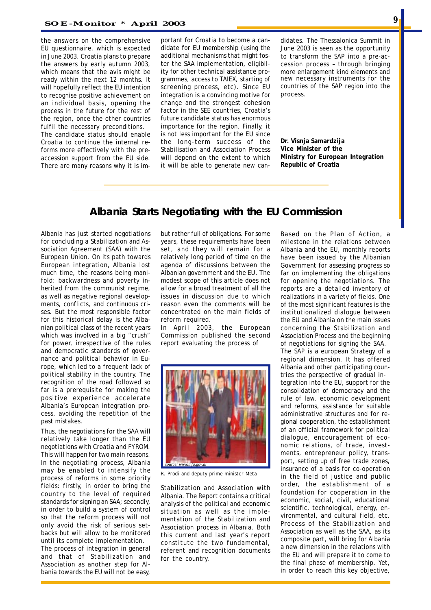the answers on the comprehensive EU questionnaire, which is expected in June 2003. Croatia plans to prepare the answers by early autumn 2003, which means that the *avis* might be ready within the next 12 months. It will hopefully reflect the EU intention to recognise positive achievement on an individual basis, opening the process in the future for the rest of the region, once the other countries fulfil the necessary preconditions.

The candidate status should enable Croatia to continue the internal reforms more effectively with the preaccession support from the EU side. There are many reasons why it is important for Croatia to become a candidate for EU membership (using the additional mechanisms that might foster the SAA implementation, eligibility for other technical assistance programmes, access to TAIEX, starting of screening process, etc). Since EU integration is a convincing motive for change and the strongest cohesion factor in the SEE countries, Croatia's future candidate status has enormous importance for the region. Finally, it is not less important for the EU since the long-term success of the Stabilisation and Association Process will depend on the extent to which it will be able to generate new candidates. The Thessalonica Summit in June 2003 is seen as the opportunity to transform the SAP into a pre-accession process – through bringing more enlargement kind elements and new necessary instruments for the countries of the SAP region into the process.

**Dr. Visnja Samardzija Vice Minister of the Ministry for European Integration Republic of Croatia**

## **Albania Starts Negotiating with the EU Commission**

Albania has just started negotiations for concluding a Stabilization and Association Agreement (SAA) with the European Union. On its path towards European integration, Albania lost much time, the reasons being manifold: backwardness and poverty inherited from the communist regime, as well as negative regional developments, conflicts, and continuous crises. But the most responsible factor for this historical delay is the Albanian political class of the recent years which was involved in a big "crush" for power, irrespective of the rules and democratic standards of governance and political behavior in Europe, which led to a frequent lack of political stability in the country. The recognition of the road followed so far is a prerequisite for making the positive experience accelerate Albania's European integration process, avoiding the repetition of the past mistakes.

Thus, the negotiations for the SAA will relatively take longer than the EU negotiations with Croatia and FYROM. This will happen for two main reasons. In the negotiating process, Albania may be enabled to intensify the process of reforms in some priority fields: firstly, in order to bring the country to the level of required standards for signing an SAA; secondly, in order to build a system of control so that the reform process will not only avoid the risk of serious setbacks but will allow to be monitored until its complete implementation.

The process of integration in general and that of Stabilization and Association as another step for Albania towards the EU will not be easy,

but rather full of obligations. For some years, these requirements have been set, and they will remain for a relatively long period of time on the agenda of discussions between the Albanian government and the EU. The modest scope of this article does not allow for a broad treatment of all the issues in discussion due to which reason even the comments will be concentrated on the main fields of reform required.

In April 2003, the European Commission published the second report evaluating the process of



*R. Prodi and deputy prime minister Meta*

Stabilization and Association with Albania. The Report contains a critical analysis of the political and economic situation as well as the implementation of the Stabilization and Association process in Albania. Both this current and last year's report constitute the two fundamental, referent and recognition documents for the country.

Based on the Plan of Action, a milestone in the relations between Albania and the EU, monthly reports have been issued by the Albanian Government for assessing progress so far on implementing the obligations for opening the negotiations. The reports are a detailed inventory of realizations in a variety of fields. One of the most significant features is the institutionalized dialogue between the EU and Albania on the main issues concerning the Stabilization and Association Process and the beginning of negotiations for signing the SAA. The SAP is a european Strategy of a regional dimension. It has offered Albania and other participating countries the perspective of gradual integration into the EU, support for the consolidation of democracy and the rule of law, economic development and reforms, assistance for suitable administrative structures and for regional cooperation, the establishment of an official framework for political dialogue, encouragement of economic relations, of trade, investments, entrepreneur policy, transport, setting up of free trade zones, insurance of a basis for co-operation in the field of justice and public order, the establishment of a foundation for cooperation in the economic, social, civil, educational scientific, technological, energy, environmental, and cultural field, etc. Process of the Stabilization and Association as well as the SAA, as its composite part, will bring for Albania a new dimension in the relations with the EU and will prepare it to come to the final phase of membership. Yet, in order to reach this key objective,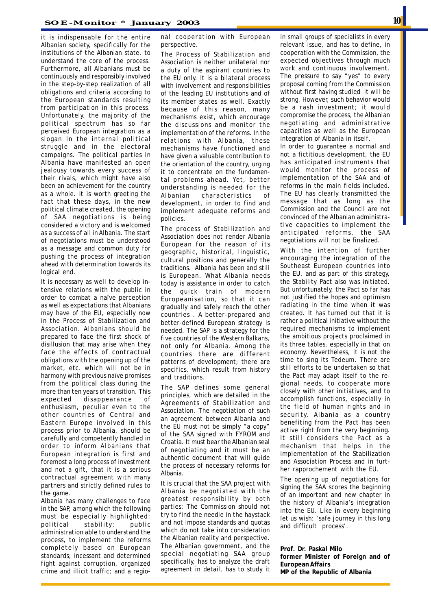it is indispensable for the entire Albanian society, specifically for the institutions of the Albanian state, to understand the core of the process. Furthermore, all Albanians must be continuously and responsibly involved in the step-by-step realization of all obligations and criteria according to the European standards resulting from participation in this process. Unfortunately, the majority of the political spectrum has so far perceived European integration as a slogan in the internal political struggle and in the electoral campaigns. The political parties in Albania have manifested an open jealousy towards every success of their rivals, which might have also been an achievement for the country as a whole. It is worth greeting the fact that these days, in the new political climate created, the opening of SAA negotiations is being considered a victory and is welcomed as a success of all in Albania. The start of negotiations must be understood as a message and common duty for pushing the process of integration ahead with determination towards its logical end.

It is necessary as well to develop intensive relations with the public in order to combat a naïve perception as well as expectations that Albanians may have of the EU, especially now in the Process of Stabilization and Association. Albanians should be prepared to face the first shock of disillusion that may arise when they face the effects of contractual obligations with the opening up of the market, etc. which will not be in harmony with previous naïve promises from the political class during the more than ten years of transition. This expected disappearance of enthusiasm, peculiar even to the other countries of Central and Eastern Europe involved in this process prior to Albania, should be carefully and competently handled in order to inform Albanians that European integration is first and foremost a long process of investment and not a gift, that it is a serious contractual agreement with many partners and strictly defined rules to the game.

Albania has many challenges to face in the SAP, among which the following must be especially highlighted: political stability; public administration able to understand the process, to implement the reforms completely based on European standards; incessant and determined fight against corruption, organized crime and illicit traffic; and a regional cooperation with European perspective.

The Process of Stabilization and Association is neither unilateral nor a duty of the aspirant countries to the EU only. It is a bilateral process with involvement and responsibilities of the leading EU institutions and of its member states as well. Exactly because of this reason, many mechanisms exist, which encourage the discussions and monitor the implementation of the reforms. In the relations with Albania, these mechanisms have functioned and have given a valuable contribution to the orientation of the country, urging it to concentrate on the fundamental problems ahead. Yet, better understanding is needed for the Albanian characteristics of development, in order to find and implement adequate reforms and policies.

The process of Stabilization and Association does not render Albania European for the reason of its geographic, historical, linguistic, cultural positions and generally the traditions. Albania has been and still is European. What Albania needs today is assistance in order to catch the quick train of modern Europeanisation, so that it can gradually and safely reach the other countries . A better-prepared and better-defined European strategy is needed. The SAP is a strategy for the five countries of the Western Balkans, not only for Albania. Among the countries there are different patterns of development; there are specifics, which result from history and traditions.

The SAP defines some general principles, which are detailed in the Agreements of Stabilization and Association. The negotiation of such an agreement between Albania and the EU must not be simply "a copy" of the SAA signed with FYROM and Croatia. It must bear the Albanian seal of negotiating and it must be an authentic document that will guide the process of necessary reforms for Albania.

It is crucial that the SAA project with Albania be negotiated with the greatest responsibility by both parties: The Commission should not try to find the needle in the haystack and not impose standards and quotas which do not take into consideration the Albanian reality and perspective. The Albanian government, and the special negotiating SAA group specifically, has to analyze the draft agreement in detail, has to study it

in small groups of specialists in every relevant issue, and has to define, in cooperation with the Commission, the expected objectives through much work and continuous involvement. The pressure to say "yes" to every proposal coming from the Commission without first having studied it will be strong. However, such behavior would be a rash investment; it would compromise the process, the Albanian negotiating and administrative capacities as well as the European integration of Albania in itself.

In order to guarantee a normal and not a fictitious development, the EU has anticipated instruments that would monitor the process of implementation of the SAA and of reforms in the main fields included. The EU has clearly transmitted the message that as long as the Commission and the Council are not convinced of the Albanian administrative capacities to implement the anticipated reforms, the SAA negotiations will not be finalized.

With the intention of further encouraging the integration of the Southeast European countries into the EU, and as part of this strategy, the Stability Pact also was initiated. But unfortunately, the Pact so far has not justified the hopes and optimism radiating in the time when it was created. It has turned out that it is rather a political initiative without the required mechanisms to implement the ambitious projects proclaimed in its three tables, especially in that on economy. Nevertheless, it is not the time to sing its Tedeum. There are still efforts to be undertaken so that the Pact may adapt itself to the regional needs, to cooperate more closely with other initiatives, and to accomplish functions, especially in the field of human rights and in security. Albania as a country benefiting from the Pact has been active right from the very beginning. It still considers the Pact as a mechanism that helps in the implementation of the Stabilization and Association Process and in further rapprochement with the EU.

The opening up of negotiations for signing the SAA scores the beginning of an important and new chapter in the history of Albania's integration into the EU. Like in every beginning let us wish: 'safe journey in this long and difficult process'.

#### **Prof. Dr. Paskal Milo former Minister of Foreign and of European Affairs MP of the Republic of Albania**